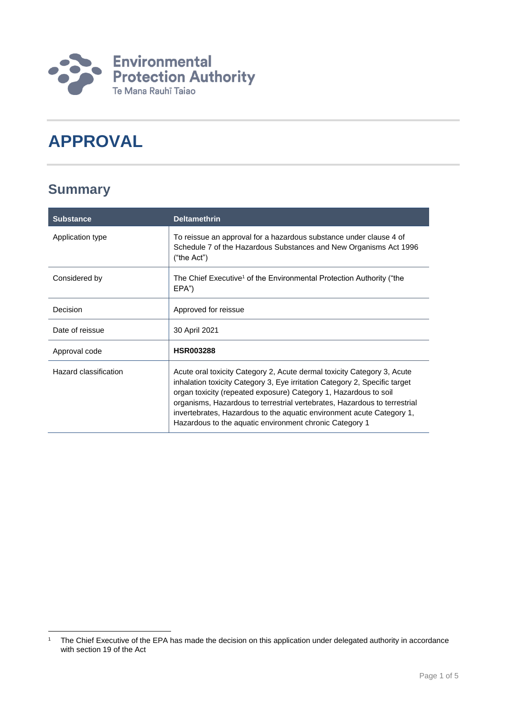

# **APPROVAL**

### **Summary**

| <b>Substance</b>      | <b>Deltamethrin</b>                                                                                                                                                                                                                                                                                                                                                                                                                        |
|-----------------------|--------------------------------------------------------------------------------------------------------------------------------------------------------------------------------------------------------------------------------------------------------------------------------------------------------------------------------------------------------------------------------------------------------------------------------------------|
| Application type      | To reissue an approval for a hazardous substance under clause 4 of<br>Schedule 7 of the Hazardous Substances and New Organisms Act 1996<br>("the Act")                                                                                                                                                                                                                                                                                     |
| Considered by         | The Chief Executive <sup>1</sup> of the Environmental Protection Authority ("the<br>EPA")                                                                                                                                                                                                                                                                                                                                                  |
| Decision              | Approved for reissue                                                                                                                                                                                                                                                                                                                                                                                                                       |
| Date of reissue       | 30 April 2021                                                                                                                                                                                                                                                                                                                                                                                                                              |
| Approval code         | <b>HSR003288</b>                                                                                                                                                                                                                                                                                                                                                                                                                           |
| Hazard classification | Acute oral toxicity Category 2, Acute dermal toxicity Category 3, Acute<br>inhalation toxicity Category 3, Eye irritation Category 2, Specific target<br>organ toxicity (repeated exposure) Category 1, Hazardous to soil<br>organisms, Hazardous to terrestrial vertebrates, Hazardous to terrestrial<br>invertebrates, Hazardous to the aquatic environment acute Category 1,<br>Hazardous to the aquatic environment chronic Category 1 |

<sup>1</sup> <sup>1</sup> The Chief Executive of the EPA has made the decision on this application under delegated authority in accordance with section 19 of the Act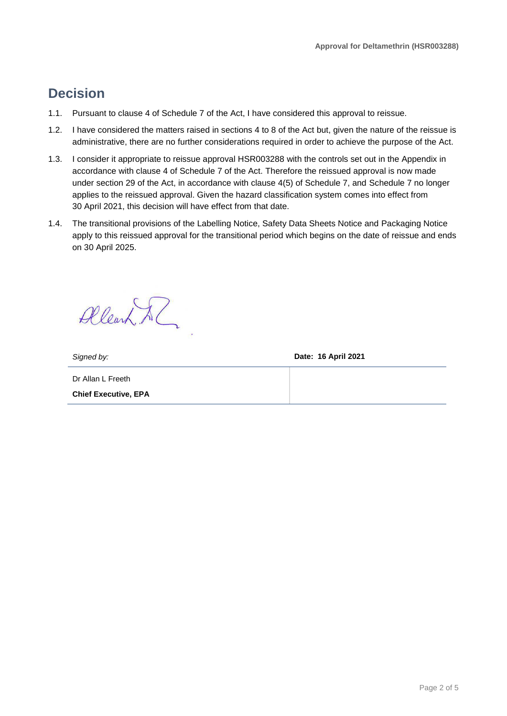### **Decision**

- 1.1. Pursuant to clause 4 of Schedule 7 of the Act, I have considered this approval to reissue.
- 1.2. I have considered the matters raised in sections 4 to 8 of the Act but, given the nature of the reissue is administrative, there are no further considerations required in order to achieve the purpose of the Act.
- 1.3. I consider it appropriate to reissue approval HSR003288 with the controls set out in the Appendix in accordance with clause 4 of Schedule 7 of the Act. Therefore the reissued approval is now made under section 29 of the Act, in accordance with clause 4(5) of Schedule 7, and Schedule 7 no longer applies to the reissued approval. Given the hazard classification system comes into effect from 30 April 2021, this decision will have effect from that date.
- 1.4. The transitional provisions of the Labelling Notice, Safety Data Sheets Notice and Packaging Notice apply to this reissued approval for the transitional period which begins on the date of reissue and ends on 30 April 2025.

Allearn Al

*Signed by:* **Date: 16 April 2021**

Dr Allan L Freeth **Chief Executive, EPA**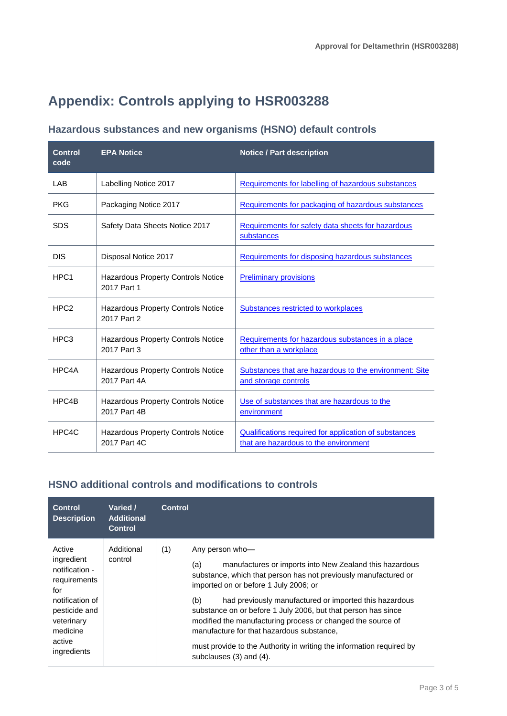## **Appendix: Controls applying to HSR003288**

#### **Hazardous substances and new organisms (HSNO) default controls**

| <b>Control</b><br>code | <b>EPA Notice</b>                                         | <b>Notice / Part description</b>                                                                      |
|------------------------|-----------------------------------------------------------|-------------------------------------------------------------------------------------------------------|
| <b>LAB</b>             | Labelling Notice 2017                                     | Requirements for labelling of hazardous substances                                                    |
| <b>PKG</b>             | Packaging Notice 2017                                     | Requirements for packaging of hazardous substances                                                    |
| <b>SDS</b>             | Safety Data Sheets Notice 2017                            | Requirements for safety data sheets for hazardous<br>substances                                       |
| <b>DIS</b>             | Disposal Notice 2017                                      | Requirements for disposing hazardous substances                                                       |
| HPC <sub>1</sub>       | <b>Hazardous Property Controls Notice</b><br>2017 Part 1  | <b>Preliminary provisions</b>                                                                         |
| HPC <sub>2</sub>       | <b>Hazardous Property Controls Notice</b><br>2017 Part 2  | Substances restricted to workplaces                                                                   |
| HPC <sub>3</sub>       | <b>Hazardous Property Controls Notice</b><br>2017 Part 3  | Requirements for hazardous substances in a place<br>other than a workplace                            |
| HPC4A                  | Hazardous Property Controls Notice<br>2017 Part 4A        | Substances that are hazardous to the environment: Site<br>and storage controls                        |
| HPC4B                  | <b>Hazardous Property Controls Notice</b><br>2017 Part 4B | Use of substances that are hazardous to the<br>environment                                            |
| HPC4C                  | <b>Hazardous Property Controls Notice</b><br>2017 Part 4C | <b>Qualifications required for application of substances</b><br>that are hazardous to the environment |

### **HSNO additional controls and modifications to controls**

| <b>Control</b><br><b>Description</b>                                                                                                                 | Varied /<br><b>Additional</b><br><b>Control</b> | <b>Control</b>                                                                                                                                                                                                                                                                                                                                                                                                                                                                                                                                        |
|------------------------------------------------------------------------------------------------------------------------------------------------------|-------------------------------------------------|-------------------------------------------------------------------------------------------------------------------------------------------------------------------------------------------------------------------------------------------------------------------------------------------------------------------------------------------------------------------------------------------------------------------------------------------------------------------------------------------------------------------------------------------------------|
| Active<br>ingredient<br>notification -<br>requirements<br>for<br>notification of<br>pesticide and<br>veterinary<br>medicine<br>active<br>ingredients | Additional<br>control                           | (1)<br>Any person who-<br>manufactures or imports into New Zealand this hazardous<br>(a)<br>substance, which that person has not previously manufactured or<br>imported on or before 1 July 2006; or<br>had previously manufactured or imported this hazardous<br>(b)<br>substance on or before 1 July 2006, but that person has since<br>modified the manufacturing process or changed the source of<br>manufacture for that hazardous substance.<br>must provide to the Authority in writing the information required by<br>subclauses (3) and (4). |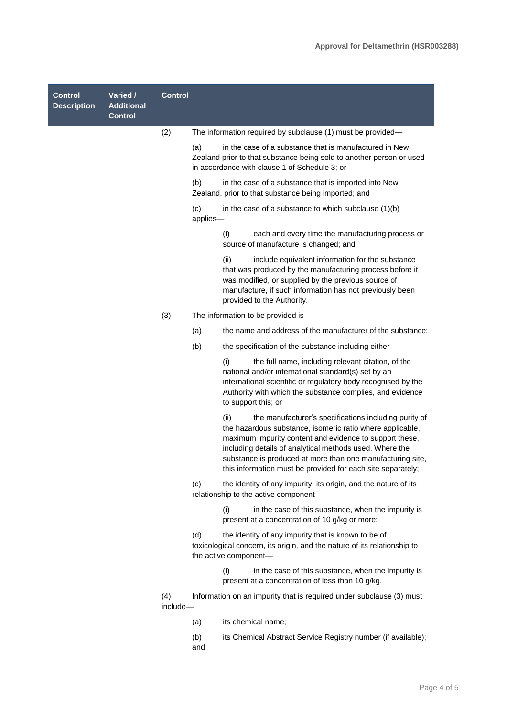| <b>Control</b><br><b>Description</b> | Varied /<br><b>Additional</b><br><b>Control</b> | <b>Control</b>  |                                                                                                                                                                                                                                                                                                                                                                               |
|--------------------------------------|-------------------------------------------------|-----------------|-------------------------------------------------------------------------------------------------------------------------------------------------------------------------------------------------------------------------------------------------------------------------------------------------------------------------------------------------------------------------------|
|                                      |                                                 | (2)             | The information required by subclause (1) must be provided-                                                                                                                                                                                                                                                                                                                   |
|                                      |                                                 |                 | in the case of a substance that is manufactured in New<br>(a)<br>Zealand prior to that substance being sold to another person or used<br>in accordance with clause 1 of Schedule 3; or                                                                                                                                                                                        |
|                                      |                                                 |                 | (b)<br>in the case of a substance that is imported into New<br>Zealand, prior to that substance being imported; and                                                                                                                                                                                                                                                           |
|                                      |                                                 |                 | (c)<br>in the case of a substance to which subclause $(1)(b)$<br>applies-                                                                                                                                                                                                                                                                                                     |
|                                      |                                                 |                 | (i)<br>each and every time the manufacturing process or<br>source of manufacture is changed; and                                                                                                                                                                                                                                                                              |
|                                      |                                                 |                 | (ii)<br>include equivalent information for the substance<br>that was produced by the manufacturing process before it<br>was modified, or supplied by the previous source of<br>manufacture, if such information has not previously been<br>provided to the Authority.                                                                                                         |
|                                      |                                                 | (3)             | The information to be provided is-                                                                                                                                                                                                                                                                                                                                            |
|                                      |                                                 |                 | the name and address of the manufacturer of the substance;<br>(a)                                                                                                                                                                                                                                                                                                             |
|                                      |                                                 |                 | (b)<br>the specification of the substance including either-                                                                                                                                                                                                                                                                                                                   |
|                                      |                                                 |                 | the full name, including relevant citation, of the<br>(i)<br>national and/or international standard(s) set by an<br>international scientific or regulatory body recognised by the<br>Authority with which the substance complies, and evidence<br>to support this; or                                                                                                         |
|                                      |                                                 |                 | the manufacturer's specifications including purity of<br>(ii)<br>the hazardous substance, isomeric ratio where applicable,<br>maximum impurity content and evidence to support these,<br>including details of analytical methods used. Where the<br>substance is produced at more than one manufacturing site,<br>this information must be provided for each site separately; |
|                                      |                                                 |                 | (c)<br>the identity of any impurity, its origin, and the nature of its<br>relationship to the active component-                                                                                                                                                                                                                                                               |
|                                      |                                                 |                 | (i)<br>in the case of this substance, when the impurity is<br>present at a concentration of 10 g/kg or more;                                                                                                                                                                                                                                                                  |
|                                      |                                                 |                 | (d)<br>the identity of any impurity that is known to be of<br>toxicological concern, its origin, and the nature of its relationship to<br>the active component-                                                                                                                                                                                                               |
|                                      |                                                 |                 | (i)<br>in the case of this substance, when the impurity is<br>present at a concentration of less than 10 g/kg.                                                                                                                                                                                                                                                                |
|                                      |                                                 | (4)<br>include- | Information on an impurity that is required under subclause (3) must                                                                                                                                                                                                                                                                                                          |
|                                      |                                                 |                 | its chemical name;<br>(a)                                                                                                                                                                                                                                                                                                                                                     |
|                                      |                                                 |                 | its Chemical Abstract Service Registry number (if available);<br>(b)<br>and                                                                                                                                                                                                                                                                                                   |